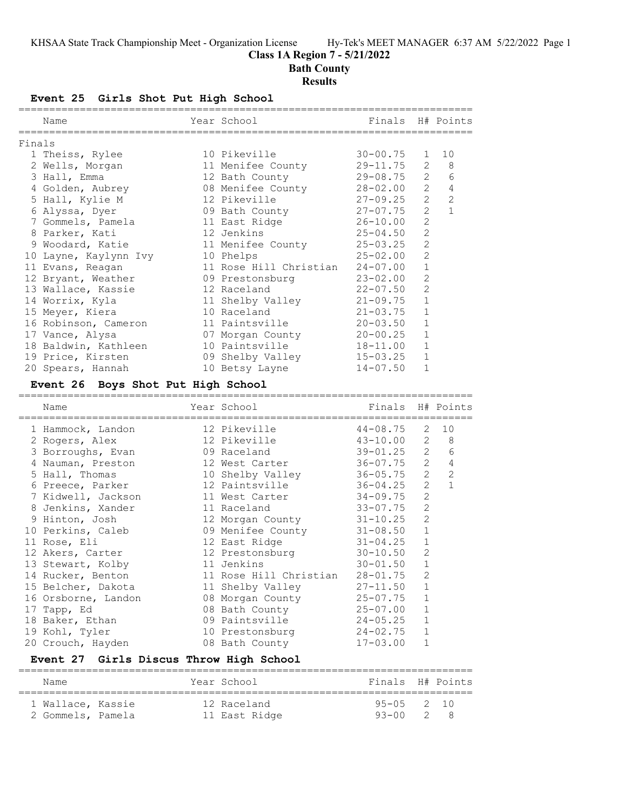## **Class 1A Region 7 - 5/21/2022**

**Bath County**

#### **Results**

**Event 25 Girls Shot Put High School**

|        | Name                                    | Year School                                           | Finals                       |                     | H# Points    |
|--------|-----------------------------------------|-------------------------------------------------------|------------------------------|---------------------|--------------|
| Finals |                                         |                                                       |                              |                     |              |
|        | 1 Theiss, Rylee                         | 10 Pikeville                                          | $30 - 00.75$                 | $\mathbf{1}$        | 10           |
|        | 2 Wells, Morgan                         | 11 Menifee County                                     | $29 - 11.75$                 | $\overline{2}$      | 8            |
|        | 3 Hall, Emma                            | 12 Bath County                                        | $29 - 08.75$                 | $\overline{2}$      | 6            |
|        | 4 Golden, Aubrey                        | 08 Menifee County                                     | 28-02.00                     | $\overline{2}$      | 4            |
|        | 5 Hall, Kylie M                         | 12 Pikeville                                          | $27 - 09.25$                 | $\overline{2}$      | 2            |
|        | 6 Alyssa, Dyer                          | 09 Bath County                                        | $27 - 07.75$                 | $\overline{2}$      | $\mathbf{1}$ |
|        | 7 Gommels, Pamela                       | 11 East Ridge                                         | $26 - 10.00$                 | 2                   |              |
|        | 8 Parker, Kati                          | 12 Jenkins                                            | $25 - 04.50$                 | $\overline{c}$      |              |
|        | 9 Woodard, Katie                        | 11 Menifee County                                     | $25 - 03.25$                 | $\overline{2}$      |              |
|        | 10 Layne, Kaylynn Ivy                   | 10 Phelps                                             | $25 - 02.00$                 | 2                   |              |
|        | 11 Evans, Reagan                        | 11 Rose Hill Christian                                | $24 - 07.00$                 | 1                   |              |
|        | 12 Bryant, Weather                      | 09 Prestonsburg                                       | $23 - 02.00$                 | $\overline{2}$      |              |
|        | 13 Wallace, Kassie                      | 12 Raceland                                           | $22 - 07.50$                 | $\mathbf{2}$        |              |
|        | 14 Worrix, Kyla                         | 11 Shelby Valley                                      | $21 - 09.75$                 | $\mathbf 1$         |              |
|        | 15 Meyer, Kiera                         | 10 Raceland                                           | $21 - 03.75$                 | 1                   |              |
|        | 16 Robinson, Cameron                    | 11 Paintsville                                        | $20 - 03.50$                 | 1                   |              |
|        | 17 Vance, Alysa                         | 07 Morgan County                                      | $20 - 00.25$                 | 1                   |              |
|        | 18 Baldwin, Kathleen                    | 10 Paintsville                                        | $18 - 11.00$                 | $\mathbf{1}$        |              |
|        | 19 Price, Kirsten                       | 09 Shelby Valley                                      | $15 - 03.25$                 | $\mathbf 1$         |              |
|        | 20 Spears, Hannah                       | 10 Betsy Layne                                        | $14 - 07.50$                 | $\mathbf{1}$        |              |
|        |                                         |                                                       |                              |                     |              |
|        | Event 26 Boys Shot Put High School      |                                                       |                              |                     |              |
|        | ===============================<br>Name | --------------------------------------<br>Year School | Finals H# Points             |                     |              |
|        | =====================                   |                                                       |                              |                     |              |
|        | 1 Hammock, Landon                       | 12 Pikeville                                          | $44 - 08.75$                 | 2<br>$\overline{2}$ | 10<br>8      |
|        | 2 Rogers, Alex                          | 12 Pikeville<br>09 Raceland                           | $43 - 10.00$<br>39-01.25     | 2                   | 6            |
|        | 3 Borroughs, Evan                       |                                                       |                              | $\mathbf{2}$        | 4            |
|        | 4 Nauman, Preston                       | 12 West Carter                                        | 36-07.75                     | $\overline{2}$      | 2            |
|        | 5 Hall, Thomas                          | 10 Shelby Valley<br>12 Paintsville                    | 36-05.75<br>36-04.25         | $\mathbf{2}$        | $\mathbf{1}$ |
|        | 6 Preece, Parker<br>7 Kidwell, Jackson  | 11 West Carter                                        | $34 - 09.75$                 | $\overline{c}$      |              |
|        | 8 Jenkins, Xander                       | 11 Raceland                                           | $33 - 07.75$                 | 2                   |              |
|        | 9 Hinton, Josh                          | 12 Morgan County                                      | $31 - 10.25$                 | 2                   |              |
|        | 10 Perkins, Caleb                       | 09 Menifee County                                     | $31 - 08.50$                 | 1                   |              |
|        | 11 Rose, Eli                            | 12 East Ridge                                         | $31 - 04.25$                 | $\mathbf 1$         |              |
|        | 12 Akers, Carter                        | 12 Prestonsburg                                       | $30 - 10.50$                 | 2                   |              |
|        | 13 Stewart, Kolby                       | 11 Jenkins                                            | $30 - 01.50$                 | $1\,$               |              |
|        | 14 Rucker, Benton                       | 11 Rose Hill Christian                                | $28 - 01.75$                 | 2                   |              |
|        | 15 Belcher, Dakota                      | 11 Shelby Valley                                      | $27 - 11.50$                 | 1                   |              |
|        | 16 Orsborne, Landon                     | 08 Morgan County                                      | $25 - 07.75$                 | 1                   |              |
|        | 17 Tapp, Ed                             | 08 Bath County                                        | $25 - 07.00$                 | 1                   |              |
|        | 18 Baker, Ethan                         | 09 Paintsville                                        | $24 - 05.25$                 | 1                   |              |
|        | 19 Kohl, Tyler<br>20 Crouch, Hayden     | 10 Prestonsburg<br>08 Bath County                     | $24 - 02.75$<br>$17 - 03.00$ | $\mathbf 1$<br>1    |              |

#### **Event 27 Girls Discus Throw High School**

========================================================================== Name The Year School The Pinals H# Points ========================================================================== 1 Wallace, Kassie 12 Raceland 95-05 2 10 2 Gommels, Pamela 11 East Ridge 93-00 2 8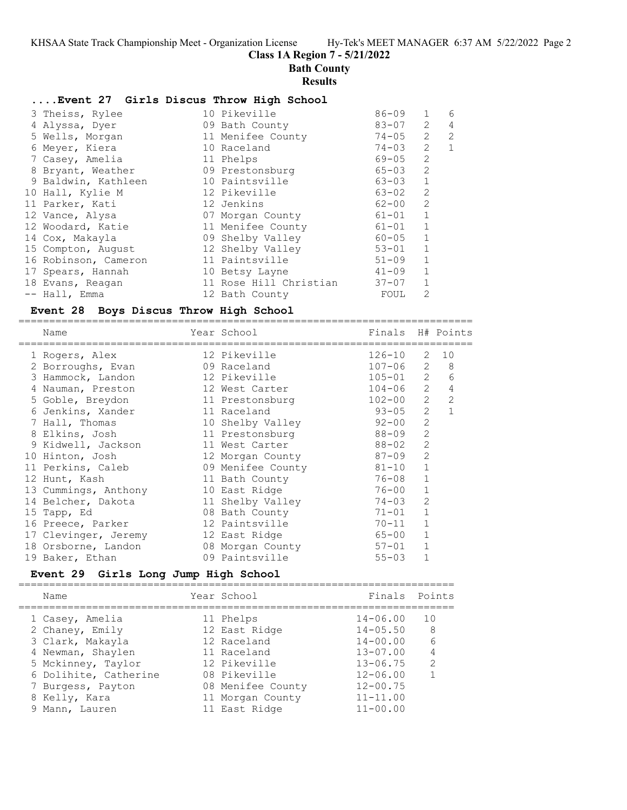## **Class 1A Region 7 - 5/21/2022**

# **Bath County**

## **Results**

### **....Event 27 Girls Discus Throw High School**

| 3 Theiss, Rylee      | 10 Pikeville           | $86 - 09$ | 1            | 6 |
|----------------------|------------------------|-----------|--------------|---|
| 4 Alyssa, Dyer       | 09 Bath County         | $83 - 07$ | 2            | 4 |
| 5 Wells, Morgan      | 11 Menifee County      | 74-05     | 2            | 2 |
| 6 Meyer, Kiera       | 10 Raceland            | $74 - 03$ | 2            | 1 |
| 7 Casey, Amelia      | 11 Phelps              | 69-05     | 2            |   |
| 8 Bryant, Weather    | 09 Prestonsburg        | 65-03     | 2            |   |
| 9 Baldwin, Kathleen  | 10 Paintsville         | 63-03     | $\mathbf{1}$ |   |
| 10 Hall, Kylie M     | 12 Pikeville           | 63-02     | 2            |   |
| 11 Parker, Kati      | 12 Jenkins             | $62 - 00$ | 2            |   |
| 12 Vance, Alysa      | 07 Morgan County       | $61 - 01$ | $\mathbf{1}$ |   |
| 12 Woodard, Katie    | 11 Menifee County      | $61 - 01$ | $\mathbf{1}$ |   |
| 14 Cox, Makayla      | 09 Shelby Valley       | $60 - 05$ | $\mathbf{1}$ |   |
| 15 Compton, August   | 12 Shelby Valley       | $53 - 01$ | $\mathbf{1}$ |   |
| 16 Robinson, Cameron | 11 Paintsville         | $51 - 09$ | $\mathbf{1}$ |   |
| 17 Spears, Hannah    | 10 Betsy Layne         | $41 - 09$ | $\mathbf{1}$ |   |
| 18 Evans, Reagan     | 11 Rose Hill Christian | $37 - 07$ | 1            |   |
| -- Hall, Emma        | 12 Bath County         | FOUL      | 2            |   |

## **Event 28 Boys Discus Throw High School**

| Name                 | Year School       | Finals H# Points |                |                |
|----------------------|-------------------|------------------|----------------|----------------|
| 1 Rogers, Alex       | 12 Pikeville      | $126 - 10$       | 2              | 10             |
| 2 Borroughs, Evan    | 09 Raceland       | $107 - 06$       | 2              | 8              |
| 3 Hammock, Landon    | 12 Pikeville      | $105 - 01$ 2     |                | 6              |
| 4 Nauman, Preston    | 12 West Carter    | $104 - 06$       | 2              | $\overline{4}$ |
| 5 Goble, Breydon     | 11 Prestonsburg   | $102 - 00$       | 2              | $\overline{2}$ |
| 6 Jenkins, Xander    | 11 Raceland       | $93 - 05$        | 2              |                |
| 7 Hall, Thomas       | 10 Shelby Valley  | $92 - 00$        | $\overline{2}$ |                |
| 8 Elkins, Josh       | 11 Prestonsburg   | 88-09            | 2              |                |
| 9 Kidwell, Jackson   | 11 West Carter    | 88-02            | $\overline{2}$ |                |
| 10 Hinton, Josh      | 12 Morgan County  | $87 - 09$        | $\overline{2}$ |                |
| 11 Perkins, Caleb    | 09 Menifee County | 81-10            | $\mathbf{1}$   |                |
| 12 Hunt, Kash        | 11 Bath County    | 76-08            | 1              |                |
| 13 Cummings, Anthony | 10 East Ridge     | 76-00            | $\mathbf{1}$   |                |
| 14 Belcher, Dakota   | 11 Shelby Valley  | 74-03            | $\overline{2}$ |                |
| 15 Tapp, Ed          | 08 Bath County    | $71 - 01$        | $\mathbf{1}$   |                |
| 16 Preece, Parker    | 12 Paintsville    | $70 - 11$        | $\mathbf{1}$   |                |
| 17 Clevinger, Jeremy | 12 East Ridge     | $65 - 00$        | $\mathbf{1}$   |                |
| 18 Orsborne, Landon  | 08 Morgan County  | 57-01            | $\mathbf{1}$   |                |
| 19 Baker, Ethan      | 09 Paintsville    | $55 - 03$        |                |                |
|                      |                   |                  |                |                |

## **Event 29 Girls Long Jump High School**

| Name                  | Year School       | Finals Points |               |
|-----------------------|-------------------|---------------|---------------|
| 1 Casey, Amelia       | 11 Phelps         | $14 - 06.00$  | 10            |
| 2 Chaney, Emily       | 12 East Ridge     | $14 - 05.50$  | - 8           |
| 3 Clark, Makayla      | 12 Raceland       | $14 - 00.00$  | 6             |
| 4 Newman, Shaylen     | 11 Raceland       | $13 - 07.00$  |               |
| 5 Mckinney, Taylor    | 12 Pikeville      | $13 - 06.75$  | $\mathcal{L}$ |
| 6 Dolihite, Catherine | 08 Pikeville      | $12 - 06.00$  | 1             |
| 7 Burgess, Payton     | 08 Menifee County | $12 - 00.75$  |               |
| 8 Kelly, Kara         | 11 Morgan County  | $11 - 11.00$  |               |
| 9 Mann, Lauren        | 11 East Ridge     | $11 - 00.00$  |               |
|                       |                   |               |               |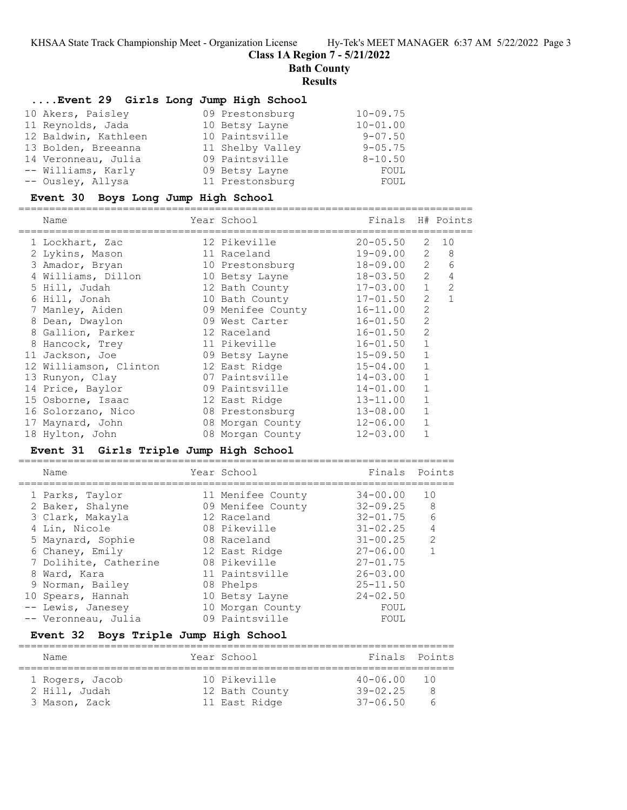**Class 1A Region 7 - 5/21/2022**

=======================================================================

**Bath County**

#### **Results**

### **....Event 29 Girls Long Jump High School**

| 10 Akers, Paisley    | 09 Prestonsburg  | $10 - 09.75$ |
|----------------------|------------------|--------------|
| 11 Reynolds, Jada    | 10 Betsy Layne   | $10 - 01.00$ |
| 12 Baldwin, Kathleen | 10 Paintsville   | $9 - 07.50$  |
| 13 Bolden, Breeanna  | 11 Shelby Valley | $9 - 05.75$  |
| 14 Veronneau, Julia  | 09 Paintsville   | $8 - 10.50$  |
| -- Williams, Karly   | 09 Betsy Layne   | FOUL         |
| -- Ousley, Allysa    | 11 Prestonsburg  | FOUL         |

### **Event 30 Boys Long Jump High School**

==========================================================================

| Name                   | Year School       | Finals H# Points | --------       |                |
|------------------------|-------------------|------------------|----------------|----------------|
| 1 Lockhart, Zac        | 12 Pikeville      | $20 - 05.50$     | 2              | 10             |
| 2 Lykins, Mason        | 11 Raceland       | 19-09.00         | 2              | - 8            |
| 3 Amador, Bryan        | 10 Prestonsburg   | 18-09.00         | 2              | 6              |
| 4 Williams, Dillon     | 10 Betsy Layne    | 18-03.50         | $\overline{2}$ | $\overline{4}$ |
| 5 Hill, Judah          | 12 Bath County    | $17 - 03.00$     | $\mathbf{1}$   | $\mathcal{L}$  |
| 6 Hill, Jonah          | 10 Bath County    | $17 - 01.50$     | 2              | $\mathbf{1}$   |
| 7 Manley, Aiden        | 09 Menifee County | $16 - 11.00$     | $\overline{2}$ |                |
| 8 Dean, Dwaylon        | 09 West Carter    | $16 - 01.50$     | $\overline{2}$ |                |
| 8 Gallion, Parker      | 12 Raceland       | $16 - 01.50$     | $\overline{2}$ |                |
| 8 Hancock, Trey        | 11 Pikeville      | $16 - 01.50$     | $\mathbf{1}$   |                |
| 11 Jackson, Joe        | 09 Betsy Layne    | $15 - 09.50$     | $\mathbf{1}$   |                |
| 12 Williamson, Clinton | 12 East Ridge     | $15 - 04.00$     | $\mathbf{1}$   |                |
| 13 Runyon, Clay        | 07 Paintsville    | $14 - 03.00$     | 1              |                |
| 14 Price, Baylor       | 09 Paintsville    | $14 - 01.00$     |                |                |
| 15 Osborne, Isaac      | 12 East Ridge     | $13 - 11.00$     | $\mathbf{1}$   |                |
| 16 Solorzano, Nico     | 08 Prestonsburg   | $13 - 08.00$     |                |                |
| 17 Maynard, John       | 08 Morgan County  | 12-06.00         |                |                |
| 18 Hylton, John        | 08 Morgan County  | $12 - 03.00$     |                |                |

#### **Event 31 Girls Triple Jump High School**

| Name                  | Year School       | Finals       | Points         |
|-----------------------|-------------------|--------------|----------------|
| 1 Parks, Taylor       | 11 Menifee County | $34 - 00.00$ | 10             |
| 2 Baker, Shalyne      | 09 Menifee County | $32 - 09.25$ | 8              |
| 3 Clark, Makayla      | 12 Raceland       | $32 - 01.75$ | 6              |
| 4 Lin, Nicole         | 08 Pikeville      | $31 - 02.25$ | $\overline{4}$ |
| 5 Maynard, Sophie     | 08 Raceland       | $31 - 00.25$ | $\mathcal{L}$  |
| 6 Chaney, Emily       | 12 East Ridge     | $27 - 06.00$ |                |
| 7 Dolihite, Catherine | 08 Pikeville      | $27 - 01.75$ |                |
| 8 Ward, Kara          | 11 Paintsville    | $26 - 03.00$ |                |
| 9 Norman, Bailey      | 08 Phelps         | $25 - 11.50$ |                |
| 10 Spears, Hannah     | 10 Betsy Layne    | $24 - 02.50$ |                |
| -- Lewis, Janesey     | 10 Morgan County  | FOUL         |                |
| -- Veronneau, Julia   | 09 Paintsville    | FOUL         |                |

### **Event 32 Boys Triple Jump High School**

| Name                                              |  | Year School                                     | Finals Points                                   |   |  |  |  |
|---------------------------------------------------|--|-------------------------------------------------|-------------------------------------------------|---|--|--|--|
| 1 Rogers, Jacob<br>2 Hill, Judah<br>3 Mason, Zack |  | 10 Pikeville<br>12 Bath County<br>11 East Ridge | $40 - 06.00$ 10<br>$39 - 02.25$<br>$37 - 06.50$ | 8 |  |  |  |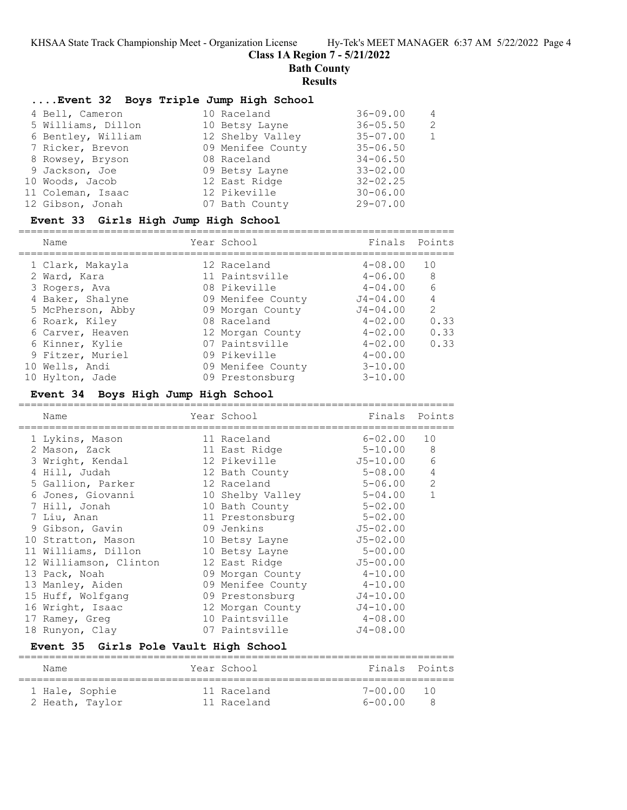**Class 1A Region 7 - 5/21/2022**

**Bath County**

### **Results**

### **....Event 32 Boys Triple Jump High School**

| 4 Bell, Cameron    | 10 Raceland       | $36 - 09.00$ | 4             |
|--------------------|-------------------|--------------|---------------|
| 5 Williams, Dillon | 10 Betsy Layne    | $36 - 05.50$ | $\mathcal{P}$ |
| 6 Bentley, William | 12 Shelby Valley  | $35 - 07.00$ |               |
| 7 Ricker, Brevon   | 09 Menifee County | $35 - 06.50$ |               |
| 8 Rowsey, Bryson   | 08 Raceland       | $34 - 06.50$ |               |
| 9 Jackson, Joe     | 09 Betsy Layne    | $33 - 02.00$ |               |
| 10 Woods, Jacob    | 12 East Ridge     | $32 - 02.25$ |               |
| 11 Coleman, Isaac  | 12 Pikeville      | $30 - 06.00$ |               |
| 12 Gibson, Jonah   | 07 Bath County    | $29 - 07.00$ |               |

### **Event 33 Girls High Jump High School**

=======================================================================

| Name              | Year School       | Finals       | Points         |
|-------------------|-------------------|--------------|----------------|
| 1 Clark, Makayla  | 12 Raceland       | $4 - 08.00$  | 10             |
| 2 Ward, Kara      | 11 Paintsville    | $4 - 06.00$  | 8              |
| 3 Rogers, Ava     | 08 Pikeville      | $4 - 04.00$  | 6              |
| 4 Baker, Shalyne  | 09 Menifee County | $J4 - 04.00$ | $\overline{4}$ |
| 5 McPherson, Abby | 09 Morgan County  | $J4 - 04.00$ | $\mathcal{L}$  |
| 6 Roark, Kiley    | 08 Raceland       | $4 - 02.00$  | 0.33           |
| 6 Carver, Heaven  | 12 Morgan County  | $4 - 02.00$  | 0.33           |
| 6 Kinner, Kylie   | 07 Paintsville    | $4 - 02.00$  | 0.33           |
| 9 Fitzer, Muriel  | 09 Pikeville      | $4 - 00.00$  |                |
| 10 Wells, Andi    | 09 Menifee County | $3 - 10.00$  |                |
| 10 Hylton, Jade   | 09 Prestonsburg   | $3 - 10.00$  |                |

### **Event 34 Boys High Jump High School**

| Name                   | Year School       | Finals Points |                |
|------------------------|-------------------|---------------|----------------|
| 1 Lykins, Mason        | 11 Raceland       | $6 - 02.00$   | 10             |
| 2 Mason, Zack          | 11 East Ridge     | 5-10.00       | 8              |
| 3 Wright, Kendal       | 12 Pikeville      | J5-10.00      | 6              |
| 4 Hill, Judah          | 12 Bath County    | $5 - 08.00$   | $\overline{4}$ |
| 5 Gallion, Parker      | 12 Raceland       | $5 - 06.00$   | 2              |
| 6 Jones, Giovanni      | 10 Shelby Valley  | $5 - 04.00$   | $\mathbf{1}$   |
| 7 Hill, Jonah          | 10 Bath County    | $5 - 02.00$   |                |
| 7 Liu, Anan            | 11 Prestonsburg   | $5 - 02.00$   |                |
| 9 Gibson, Gavin        | 09 Jenkins        | $J5 - 02.00$  |                |
| 10 Stratton, Mason     | 10 Betsy Layne    | $J5 - 02.00$  |                |
| 11 Williams, Dillon    | 10 Betsy Layne    | $5 - 00.00$   |                |
| 12 Williamson, Clinton | 12 East Ridge     | $J5 - 00.00$  |                |
| 13 Pack, Noah          | 09 Morgan County  | $4 - 10.00$   |                |
| 13 Manley, Aiden       | 09 Menifee County | $4 - 10.00$   |                |
| 15 Huff, Wolfgang      | 09 Prestonsburg   | $J4 - 10.00$  |                |
| 16 Wright, Isaac       | 12 Morgan County  | $J4 - 10.00$  |                |
| 17 Ramey, Greg         | 10 Paintsville    | $4 - 08.00$   |                |
| 18 Runyon, Clay        | 07 Paintsville    | $J4 - 08.00$  |                |
|                        |                   |               |                |

### **Event 35 Girls Pole Vault High School**

| Name            | Year School | Finals Points |             |
|-----------------|-------------|---------------|-------------|
| 1 Hale, Sophie  | 11 Raceland | 7-00 00       | $\sqrt{10}$ |
| 2 Heath, Taylor | 11 Raceland | $6 - 00.00$   |             |